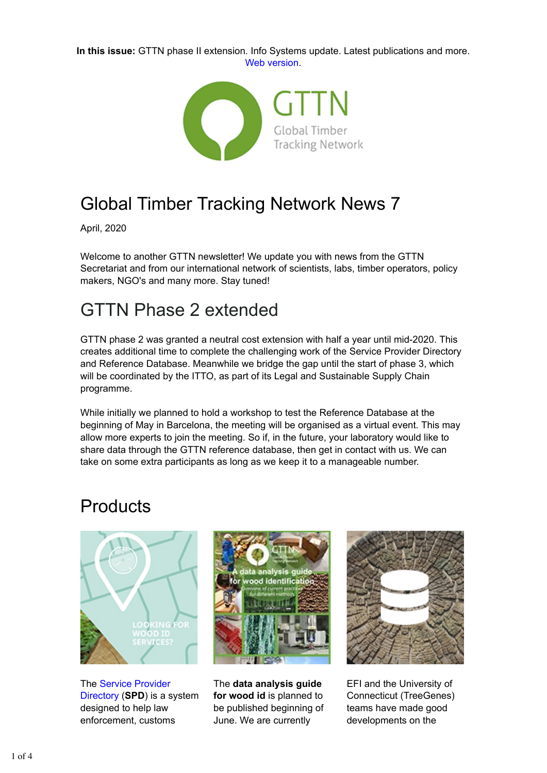**In this issue:** GTTN phase II extension. Info Systems update. Latest publications and more. Web version.



# Global Timber Tracking Network News 7

April, 2020

Welcome to another GTTN newsletter! We update you with news from the GTTN Secretariat and from our international network of scientists, labs, timber operators, policy makers, NGO's and many more. Stay tuned!

## GTTN Phase 2 extended

GTTN phase 2 was granted a neutral cost extension with half a year until mid-2020. This creates additional time to complete the challenging work of the Service Provider Directory and Reference Database. Meanwhile we bridge the gap until the start of phase 3, which will be coordinated by the ITTO, as part of its Legal and Sustainable Supply Chain programme.

While initially we planned to hold a workshop to test the Reference Database at the beginning of May in Barcelona, the meeting will be organised as a virtual event. This may allow more experts to join the meeting. So if, in the future, your laboratory would like to share data through the GTTN reference database, then get in contact with us. We can take on some extra participants as long as we keep it to a manageable number.

## **Products**



The Service Provider Directory (**SPD**) is a system designed to help law enforcement, customs



The **data analysis guide for wood id** is planned to be published beginning of June. We are currently



EFI and the University of Connecticut (TreeGenes) teams have made good developments on the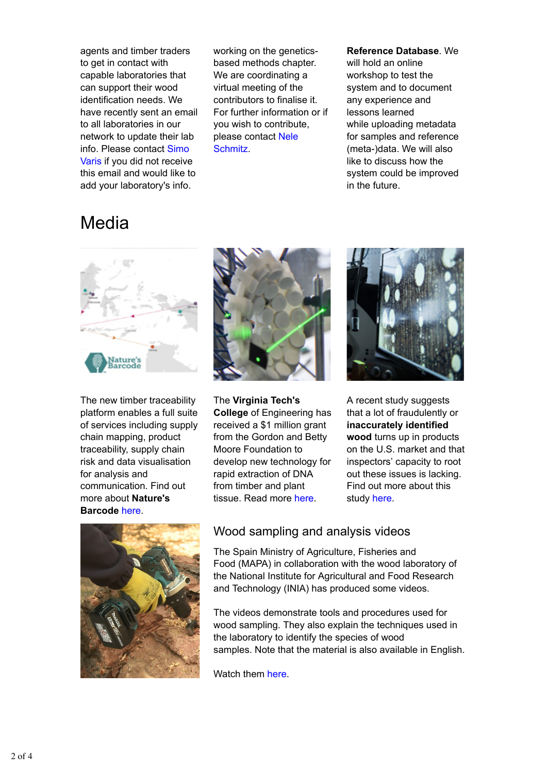agents and timber traders to get in contact with capable laboratories that can support their wood identification needs. We have recently sent an email to all laboratories in our network to update their lab info. Please contact Simo Varis if you did not receive this email and would like to add your laboratory's info.

working on the geneticsbased methods chapter. We are coordinating a virtual meeting of the contributors to finalise it. For further information or if you wish to contribute, please contact Nele Schmitz.

#### **Reference Database**. We

will hold an online workshop to test the system and to document any experience and lessons learned while uploading metadata for samples and reference (meta-)data. We will also like to discuss how the system could be improved in the future.

## Media



The new timber traceability platform enables a full suite of services including supply chain mapping, product traceability, supply chain risk and data visualisation for analysis and communication. Find out more about **Nature's Barcode** here.





The **Virginia Tech's College** of Engineering has received a \$1 million grant from the Gordon and Betty Moore Foundation to develop new technology for rapid extraction of DNA from timber and plant tissue. Read more here.



A recent study suggests that a lot of fraudulently or **inaccurately identified wood** turns up in products on the U.S. market and that inspectors' capacity to root out these issues is lacking. Find out more about this study here.

#### Wood sampling and analysis videos

The Spain Ministry of Agriculture, Fisheries and Food (MAPA) in collaboration with the wood laboratory of the National Institute for Agricultural and Food Research and Technology (INIA) has produced some videos.

The videos demonstrate tools and procedures used for wood sampling. They also explain the techniques used in the laboratory to identify the species of wood samples. Note that the material is also available in English.

Watch them here.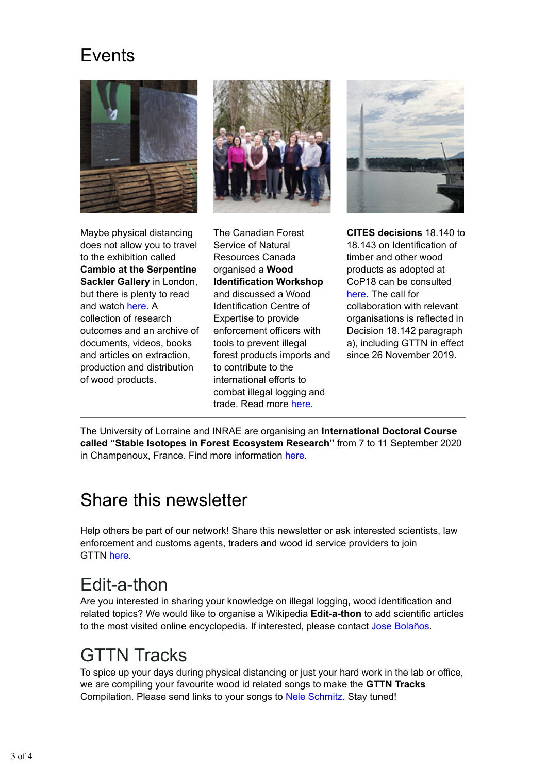## **Events**







Maybe physical distancing does not allow you to travel to the exhibition called **Cambio at the Serpentine Sackler Gallery** in London, but there is plenty to read and watch here. A collection of research outcomes and an archive of documents, videos, books and articles on extraction, production and distribution of wood products.

The Canadian Forest Service of Natural Resources Canada organised a **Wood Identification Workshop** and discussed a Wood Identification Centre of Expertise to provide enforcement officers with tools to prevent illegal forest products imports and to contribute to the international efforts to combat illegal logging and trade. Read more here.

**CITES decisions** 18.140 to 18.143 on Identification of timber and other wood products as adopted at CoP18 can be consulted here. The call for collaboration with relevant organisations is reflected in Decision 18.142 paragraph a), including GTTN in effect since 26 November 2019.

The University of Lorraine and INRAE are organising an **International Doctoral Course called "Stable Isotopes in Forest Ecosystem Research"** from 7 to 11 September 2020 in Champenoux, France. Find more information here.

# Share this newsletter

Help others be part of our network! Share this newsletter or ask interested scientists, law enforcement and customs agents, traders and wood id service providers to join GTTN here.

## Edit-a-thon

Are you interested in sharing your knowledge on illegal logging, wood identification and related topics? We would like to organise a Wikipedia **Edit-a-thon** to add scientific articles to the most visited online encyclopedia. If interested, please contact Jose Bolaños.

# GTTN Tracks

To spice up your days during physical distancing or just your hard work in the lab or office, we are compiling your favourite wood id related songs to make the **GTTN Tracks** Compilation. Please send links to your songs to Nele Schmitz. Stay tuned!